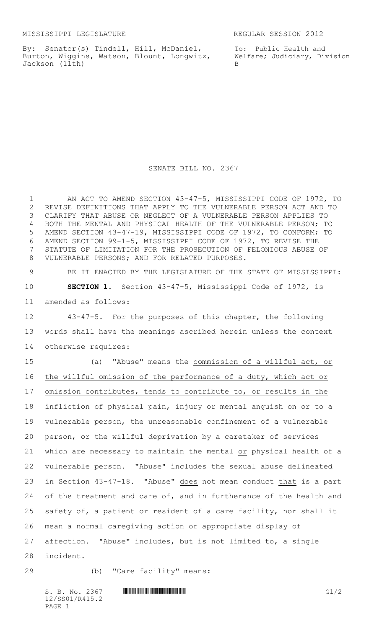By: Senator(s) Tindell, Hill, McDaniel, Burton, Wiggins, Watson, Blount, Longwitz, Jackson (11th)

To: Public Health and Welfare; Judiciary, Division B

SENATE BILL NO. 2367

 AN ACT TO AMEND SECTION 43-47-5, MISSISSIPPI CODE OF 1972, TO REVISE DEFINITIONS THAT APPLY TO THE VULNERABLE PERSON ACT AND TO CLARIFY THAT ABUSE OR NEGLECT OF A VULNERABLE PERSON APPLIES TO BOTH THE MENTAL AND PHYSICAL HEALTH OF THE VULNERABLE PERSON; TO AMEND SECTION 43-47-19, MISSISSIPPI CODE OF 1972, TO CONFORM; TO AMEND SECTION 99-1-5, MISSISSIPPI CODE OF 1972, TO REVISE THE STATUTE OF LIMITATION FOR THE PROSECUTION OF FELONIOUS ABUSE OF VULNERABLE PERSONS; AND FOR RELATED PURPOSES. BE IT ENACTED BY THE LEGISLATURE OF THE STATE OF MISSISSIPPI: **SECTION 1.** Section 43-47-5, Mississippi Code of 1972, is amended as follows: 43-47-5. For the purposes of this chapter, the following words shall have the meanings ascribed herein unless the context otherwise requires: (a) "Abuse" means the commission of a willful act, or the willful omission of the performance of a duty, which act or omission contributes, tends to contribute to, or results in the infliction of physical pain, injury or mental anguish on or to a vulnerable person, the unreasonable confinement of a vulnerable person, or the willful deprivation by a caretaker of services which are necessary to maintain the mental or physical health of a vulnerable person. "Abuse" includes the sexual abuse delineated in Section 43-47-18. "Abuse" does not mean conduct that is a part 24 of the treatment and care of, and in furtherance of the health and safety of, a patient or resident of a care facility, nor shall it mean a normal caregiving action or appropriate display of affection. "Abuse" includes, but is not limited to, a single incident. (b) "Care facility" means:

 $S. B. No. 2367$  ...  $\blacksquare$   $\blacksquare$   $\blacksquare$   $\blacksquare$   $\blacksquare$   $\blacksquare$   $\blacksquare$   $\blacksquare$   $\blacksquare$   $\blacksquare$   $\blacksquare$   $\blacksquare$   $\blacksquare$   $\blacksquare$   $\blacksquare$   $\blacksquare$   $\blacksquare$   $\blacksquare$   $\blacksquare$   $\blacksquare$   $\blacksquare$   $\blacksquare$   $\blacksquare$   $\blacksquare$   $\blacksquare$   $\blacksquare$   $\blacksquare$   $\blacksquare$   $\blacksquare$  12/SS01/R415.2 PAGE 1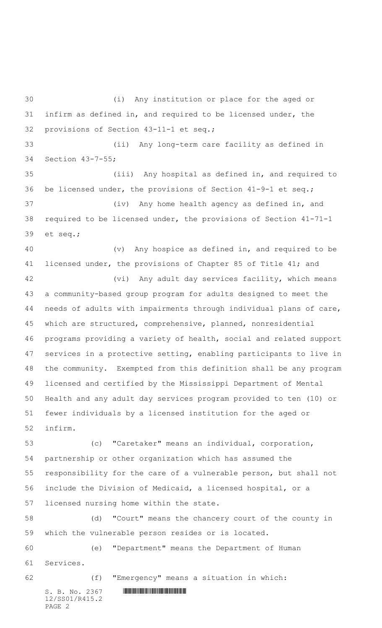$S. B. No. 2367$  . The set of  $S. B. N_{O.} 2367$  (i) Any institution or place for the aged or infirm as defined in, and required to be licensed under, the provisions of Section 43-11-1 et seq.; (ii) Any long-term care facility as defined in Section 43-7-55; (iii) Any hospital as defined in, and required to be licensed under, the provisions of Section 41-9-1 et seq.; (iv) Any home health agency as defined in, and required to be licensed under, the provisions of Section 41-71-1 et seq.; (v) Any hospice as defined in, and required to be licensed under, the provisions of Chapter 85 of Title 41; and (vi) Any adult day services facility, which means a community-based group program for adults designed to meet the needs of adults with impairments through individual plans of care, which are structured, comprehensive, planned, nonresidential programs providing a variety of health, social and related support services in a protective setting, enabling participants to live in the community. Exempted from this definition shall be any program licensed and certified by the Mississippi Department of Mental Health and any adult day services program provided to ten (10) or fewer individuals by a licensed institution for the aged or infirm. (c) "Caretaker" means an individual, corporation, partnership or other organization which has assumed the responsibility for the care of a vulnerable person, but shall not include the Division of Medicaid, a licensed hospital, or a licensed nursing home within the state. (d) "Court" means the chancery court of the county in which the vulnerable person resides or is located. (e) "Department" means the Department of Human Services. (f) "Emergency" means a situation in which:

12/SS01/R415.2 PAGE 2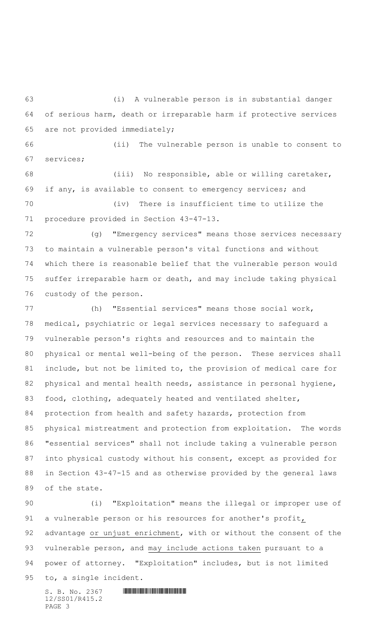(i) A vulnerable person is in substantial danger of serious harm, death or irreparable harm if protective services are not provided immediately;

 (ii) The vulnerable person is unable to consent to services;

 (iii) No responsible, able or willing caretaker, if any, is available to consent to emergency services; and

 (iv) There is insufficient time to utilize the procedure provided in Section 43-47-13.

 (g) "Emergency services" means those services necessary to maintain a vulnerable person's vital functions and without which there is reasonable belief that the vulnerable person would suffer irreparable harm or death, and may include taking physical custody of the person.

 (h) "Essential services" means those social work, medical, psychiatric or legal services necessary to safeguard a vulnerable person's rights and resources and to maintain the physical or mental well-being of the person. These services shall include, but not be limited to, the provision of medical care for 82 physical and mental health needs, assistance in personal hygiene, food, clothing, adequately heated and ventilated shelter, protection from health and safety hazards, protection from physical mistreatment and protection from exploitation. The words "essential services" shall not include taking a vulnerable person into physical custody without his consent, except as provided for in Section 43-47-15 and as otherwise provided by the general laws of the state.

 (i) "Exploitation" means the illegal or improper use of a vulnerable person or his resources for another's profit, advantage or unjust enrichment, with or without the consent of the vulnerable person, and may include actions taken pursuant to a power of attorney. "Exploitation" includes, but is not limited to, a single incident.

S. B. No. 2367 \*SS01/R415.2\* 12/SS01/R415.2 PAGE 3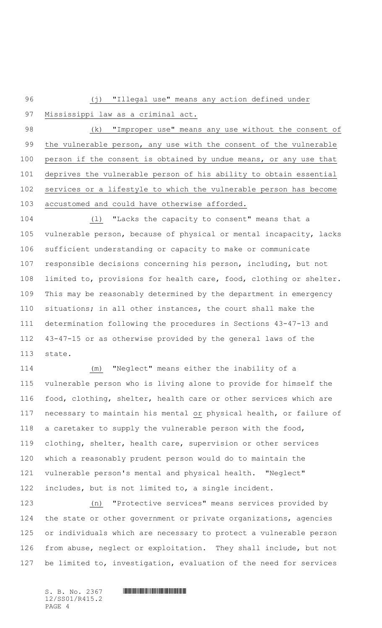96 (j) "Illegal use" means any action defined under

97 Mississippi law as a criminal act.

 (k) "Improper use" means any use without the consent of 99 the vulnerable person, any use with the consent of the vulnerable person if the consent is obtained by undue means, or any use that deprives the vulnerable person of his ability to obtain essential services or a lifestyle to which the vulnerable person has become accustomed and could have otherwise afforded.

 (l) "Lacks the capacity to consent" means that a vulnerable person, because of physical or mental incapacity, lacks sufficient understanding or capacity to make or communicate responsible decisions concerning his person, including, but not limited to, provisions for health care, food, clothing or shelter. This may be reasonably determined by the department in emergency situations; in all other instances, the court shall make the determination following the procedures in Sections 43-47-13 and 43-47-15 or as otherwise provided by the general laws of the state.

 (m) "Neglect" means either the inability of a vulnerable person who is living alone to provide for himself the food, clothing, shelter, health care or other services which are 117 necessary to maintain his mental or physical health, or failure of a caretaker to supply the vulnerable person with the food, clothing, shelter, health care, supervision or other services which a reasonably prudent person would do to maintain the vulnerable person's mental and physical health. "Neglect" includes, but is not limited to, a single incident.

 (n) "Protective services" means services provided by the state or other government or private organizations, agencies or individuals which are necessary to protect a vulnerable person from abuse, neglect or exploitation. They shall include, but not be limited to, investigation, evaluation of the need for services

12/SS01/R415.2 PAGE 4

 $S. B. No. 2367$  . And  $2367$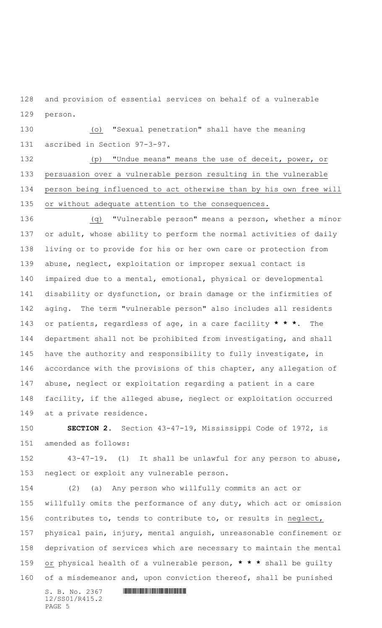and provision of essential services on behalf of a vulnerable person.

 (o) "Sexual penetration" shall have the meaning ascribed in Section 97-3-97.

 (p) "Undue means" means the use of deceit, power, or persuasion over a vulnerable person resulting in the vulnerable person being influenced to act otherwise than by his own free will or without adequate attention to the consequences.

 (q) "Vulnerable person" means a person, whether a minor or adult, whose ability to perform the normal activities of daily living or to provide for his or her own care or protection from abuse, neglect, exploitation or improper sexual contact is impaired due to a mental, emotional, physical or developmental disability or dysfunction, or brain damage or the infirmities of aging. The term "vulnerable person" also includes all residents or patients, regardless of age, in a care facility **\* \* \***. The department shall not be prohibited from investigating, and shall have the authority and responsibility to fully investigate, in accordance with the provisions of this chapter, any allegation of abuse, neglect or exploitation regarding a patient in a care facility, if the alleged abuse, neglect or exploitation occurred at a private residence.

 **SECTION 2.** Section 43-47-19, Mississippi Code of 1972, is amended as follows:

 43-47-19. (1) It shall be unlawful for any person to abuse, neglect or exploit any vulnerable person.

 (2) (a) Any person who willfully commits an act or willfully omits the performance of any duty, which act or omission contributes to, tends to contribute to, or results in neglect, physical pain, injury, mental anguish, unreasonable confinement or deprivation of services which are necessary to maintain the mental or physical health of a vulnerable person, **\* \* \*** shall be guilty of a misdemeanor and, upon conviction thereof, shall be punished

12/SS01/R415.2 PAGE 5

## $S. B. No. 2367$  **HIMNIFRANCISE SECTION**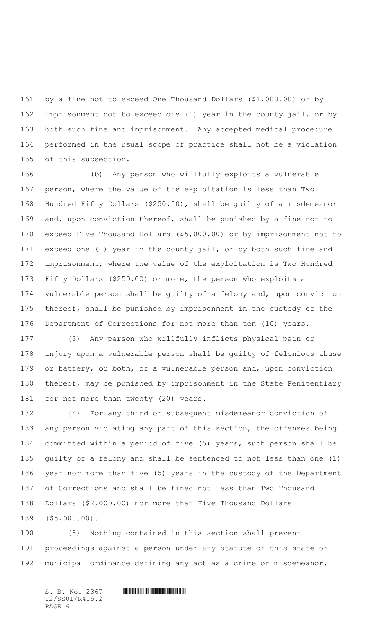by a fine not to exceed One Thousand Dollars (\$1,000.00) or by imprisonment not to exceed one (1) year in the county jail, or by both such fine and imprisonment. Any accepted medical procedure performed in the usual scope of practice shall not be a violation of this subsection.

 (b) Any person who willfully exploits a vulnerable person, where the value of the exploitation is less than Two Hundred Fifty Dollars (\$250.00), shall be guilty of a misdemeanor and, upon conviction thereof, shall be punished by a fine not to exceed Five Thousand Dollars (\$5,000.00) or by imprisonment not to exceed one (1) year in the county jail, or by both such fine and imprisonment; where the value of the exploitation is Two Hundred Fifty Dollars (\$250.00) or more, the person who exploits a vulnerable person shall be guilty of a felony and, upon conviction thereof, shall be punished by imprisonment in the custody of the Department of Corrections for not more than ten (10) years.

 (3) Any person who willfully inflicts physical pain or injury upon a vulnerable person shall be guilty of felonious abuse 179 or battery, or both, of a vulnerable person and, upon conviction thereof, may be punished by imprisonment in the State Penitentiary for not more than twenty (20) years.

 (4) For any third or subsequent misdemeanor conviction of any person violating any part of this section, the offenses being committed within a period of five (5) years, such person shall be guilty of a felony and shall be sentenced to not less than one (1) year nor more than five (5) years in the custody of the Department of Corrections and shall be fined not less than Two Thousand Dollars (\$2,000.00) nor more than Five Thousand Dollars (\$5,000.00).

 (5) Nothing contained in this section shall prevent proceedings against a person under any statute of this state or municipal ordinance defining any act as a crime or misdemeanor.

 $S. B. No. 2367$  . And  $2367$ 12/SS01/R415.2 PAGE 6